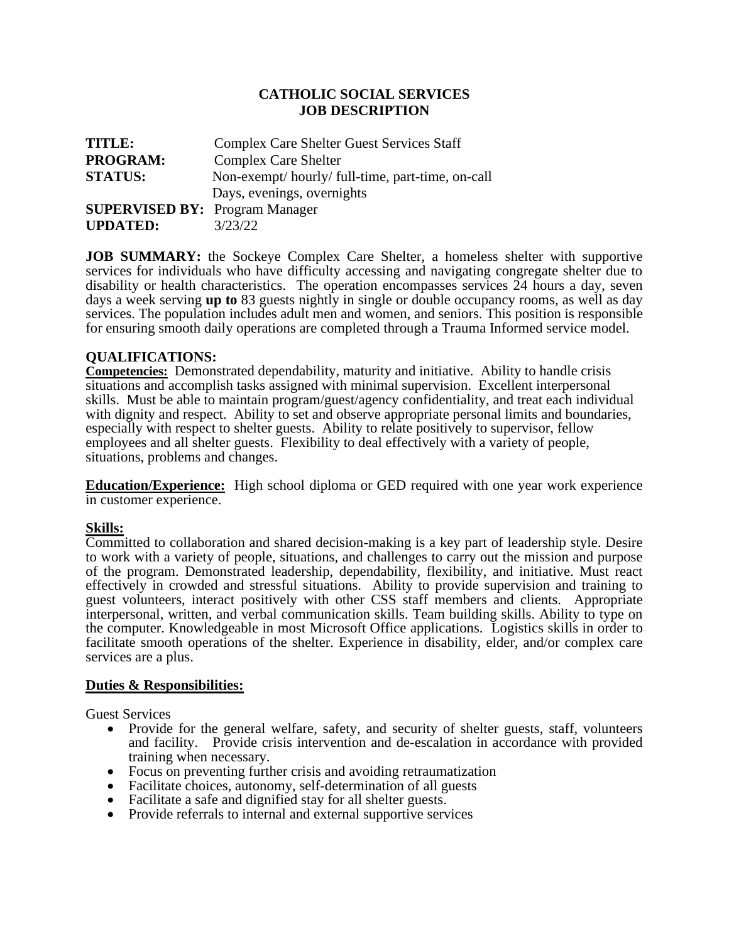## **CATHOLIC SOCIAL SERVICES JOB DESCRIPTION**

| TITLE:                                | <b>Complex Care Shelter Guest Services Staff</b> |
|---------------------------------------|--------------------------------------------------|
| <b>PROGRAM:</b>                       | <b>Complex Care Shelter</b>                      |
| <b>STATUS:</b>                        | Non-exempt/hourly/full-time, part-time, on-call  |
|                                       | Days, evenings, overnights                       |
| <b>SUPERVISED BY: Program Manager</b> |                                                  |
| <b>UPDATED:</b>                       | 3/23/22                                          |

**JOB SUMMARY:** the Sockeye Complex Care Shelter, a homeless shelter with supportive services for individuals who have difficulty accessing and navigating congregate shelter due to disability or health characteristics. The operation encompasses services 24 hours a day, seven days a week serving **up to** 83 guests nightly in single or double occupancy rooms, as well as day services. The population includes adult men and women, and seniors. This position is responsible for ensuring smooth daily operations are completed through a Trauma Informed service model.

## **QUALIFICATIONS:**

**Competencies:** Demonstrated dependability, maturity and initiative. Ability to handle crisis situations and accomplish tasks assigned with minimal supervision. Excellent interpersonal skills. Must be able to maintain program/guest/agency confidentiality, and treat each individual with dignity and respect. Ability to set and observe appropriate personal limits and boundaries, especially with respect to shelter guests. Ability to relate positively to supervisor, fellow employees and all shelter guests. Flexibility to deal effectively with a variety of people, situations, problems and changes.

**Education/Experience:** High school diploma or GED required with one year work experience in customer experience.

## **Skills:**

Committed to collaboration and shared decision-making is a key part of leadership style. Desire to work with a variety of people, situations, and challenges to carry out the mission and purpose of the program. Demonstrated leadership, dependability, flexibility, and initiative. Must react effectively in crowded and stressful situations. Ability to provide supervision and training to guest volunteers, interact positively with other CSS staff members and clients. Appropriate interpersonal, written, and verbal communication skills. Team building skills. Ability to type on the computer. Knowledgeable in most Microsoft Office applications. Logistics skills in order to facilitate smooth operations of the shelter. Experience in disability, elder, and/or complex care services are a plus.

## **Duties & Responsibilities:**

Guest Services

- Provide for the general welfare, safety, and security of shelter guests, staff, volunteers and facility. Provide crisis intervention and de-escalation in accordance with provided training when necessary.
- Focus on preventing further crisis and avoiding retraumatization
- Facilitate choices, autonomy, self-determination of all guests
- Facilitate a safe and dignified stay for all shelter guests.
- Provide referrals to internal and external supportive services